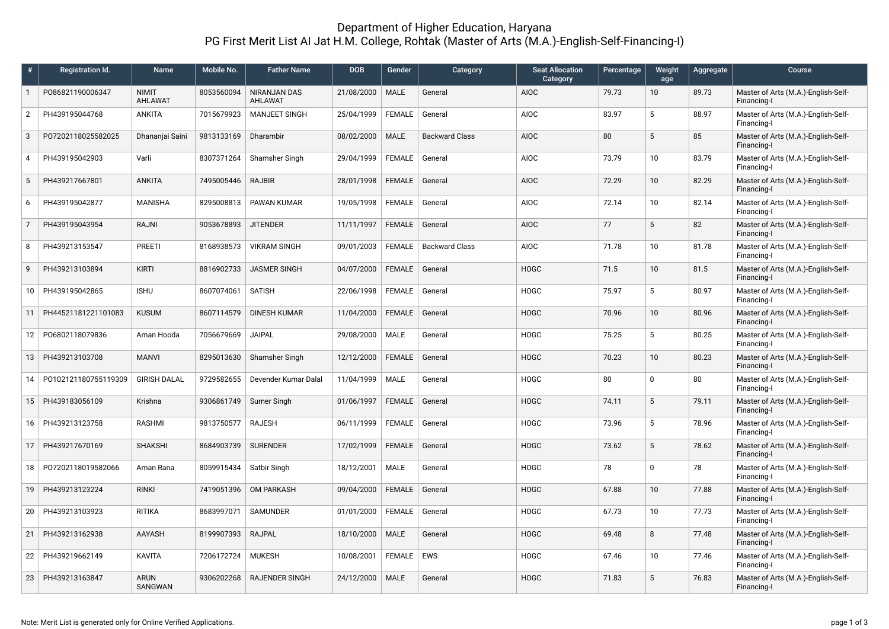## Department of Higher Education, Haryana PG First Merit List AI Jat H.M. College, Rohtak (Master of Arts (M.A.)-English-Self-Financing-I)

| #              | Registration Id.     | Name                    | Mobile No. | <b>Father Name</b>             | <b>DOB</b> | Gender        | Category              | <b>Seat Allocation</b><br>Category | Percentage | Weight<br>age   | Aggregate | Course                                             |
|----------------|----------------------|-------------------------|------------|--------------------------------|------------|---------------|-----------------------|------------------------------------|------------|-----------------|-----------|----------------------------------------------------|
| $\mathbf{1}$   | P086821190006347     | <b>NIMIT</b><br>AHLAWAT | 8053560094 | <b>NIRANJAN DAS</b><br>AHLAWAT | 21/08/2000 | <b>MALE</b>   | General               | <b>AIOC</b>                        | 79.73      | 10 <sup>°</sup> | 89.73     | Master of Arts (M.A.)-English-Self-<br>Financing-I |
| 2              | PH439195044768       | <b>ANKITA</b>           | 7015679923 | <b>MANJEET SINGH</b>           | 25/04/1999 | <b>FEMALE</b> | General               | <b>AIOC</b>                        | 83.97      | 5               | 88.97     | Master of Arts (M.A.)-English-Self-<br>Financing-I |
| 3              | P07202118025582025   | Dhananjai Saini         | 9813133169 | Dharambir                      | 08/02/2000 | <b>MALE</b>   | <b>Backward Class</b> | <b>AIOC</b>                        | 80         | 5               | 85        | Master of Arts (M.A.)-English-Self-<br>Financing-I |
| $\overline{4}$ | PH439195042903       | Varli                   | 8307371264 | Shamsher Singh                 | 29/04/1999 | <b>FEMALE</b> | General               | <b>AIOC</b>                        | 73.79      | 10              | 83.79     | Master of Arts (M.A.)-English-Self-<br>Financing-I |
| 5              | PH439217667801       | <b>ANKITA</b>           | 7495005446 | <b>RAJBIR</b>                  | 28/01/1998 | <b>FEMALE</b> | General               | <b>AIOC</b>                        | 72.29      | 10              | 82.29     | Master of Arts (M.A.)-English-Self-<br>Financing-I |
| 6              | PH439195042877       | MANISHA                 | 8295008813 | PAWAN KUMAR                    | 19/05/1998 | FEMALE        | General               | <b>AIOC</b>                        | 72.14      | 10              | 82.14     | Master of Arts (M.A.)-English-Self-<br>Financing-I |
| $\overline{7}$ | PH439195043954       | <b>RAJNI</b>            | 9053678893 | <b>JITENDER</b>                | 11/11/1997 | FEMALE        | General               | <b>AIOC</b>                        | 77         | 5               | 82        | Master of Arts (M.A.)-English-Self-<br>Financing-I |
| 8              | PH439213153547       | <b>PREETI</b>           | 8168938573 | <b>VIKRAM SINGH</b>            | 09/01/2003 | <b>FEMALE</b> | <b>Backward Class</b> | <b>AIOC</b>                        | 71.78      | 10              | 81.78     | Master of Arts (M.A.)-English-Self-<br>Financing-I |
| 9              | PH439213103894       | <b>KIRTI</b>            | 8816902733 | <b>JASMER SINGH</b>            | 04/07/2000 | FEMALE        | General               | <b>HOGC</b>                        | 71.5       | 10              | 81.5      | Master of Arts (M.A.)-English-Self-<br>Financing-I |
| 10             | PH439195042865       | <b>ISHU</b>             | 8607074061 | <b>SATISH</b>                  | 22/06/1998 | <b>FEMALE</b> | General               | <b>HOGC</b>                        | 75.97      | 5               | 80.97     | Master of Arts (M.A.)-English-Self-<br>Financing-I |
| 11             | PH44521181221101083  | <b>KUSUM</b>            | 8607114579 | DINESH KUMAR                   | 11/04/2000 | <b>FEMALE</b> | General               | <b>HOGC</b>                        | 70.96      | 10              | 80.96     | Master of Arts (M.A.)-English-Self-<br>Financing-I |
| 12             | P06802118079836      | Aman Hooda              | 7056679669 | <b>JAIPAL</b>                  | 29/08/2000 | <b>MALE</b>   | General               | <b>HOGC</b>                        | 75.25      | 5               | 80.25     | Master of Arts (M.A.)-English-Self-<br>Financing-I |
| 13             | PH439213103708       | <b>MANVI</b>            | 8295013630 | Shamsher Singh                 | 12/12/2000 | <b>FEMALE</b> | General               | <b>HOGC</b>                        | 70.23      | 10              | 80.23     | Master of Arts (M.A.)-English-Self-<br>Financing-I |
| 14             | P0102121180755119309 | <b>GIRISH DALAL</b>     | 9729582655 | Devender Kumar Dalal           | 11/04/1999 | <b>MALE</b>   | General               | <b>HOGC</b>                        | 80         | $\Omega$        | 80        | Master of Arts (M.A.)-English-Self-<br>Financing-I |
| 15             | PH439183056109       | Krishna                 | 9306861749 | Sumer Singh                    | 01/06/1997 | <b>FEMALE</b> | General               | <b>HOGC</b>                        | 74.11      | 5               | 79.11     | Master of Arts (M.A.)-English-Self-<br>Financing-I |
| 16             | PH439213123758       | <b>RASHMI</b>           | 9813750577 | <b>RAJESH</b>                  | 06/11/1999 | <b>FEMALE</b> | General               | <b>HOGC</b>                        | 73.96      | 5               | 78.96     | Master of Arts (M.A.)-English-Self-<br>Financing-I |
| 17             | PH439217670169       | <b>SHAKSHI</b>          | 8684903739 | <b>SURENDER</b>                | 17/02/1999 | FEMALE        | General               | <b>HOGC</b>                        | 73.62      | 5               | 78.62     | Master of Arts (M.A.)-English-Self-<br>Financing-I |
| 18             | P07202118019582066   | Aman Rana               | 8059915434 | Satbir Singh                   | 18/12/2001 | <b>MALE</b>   | General               | <b>HOGC</b>                        | 78         | $\Omega$        | 78        | Master of Arts (M.A.)-English-Self-<br>Financing-I |
| 19             | PH439213123224       | <b>RINKI</b>            | 7419051396 | <b>OM PARKASH</b>              | 09/04/2000 | <b>FEMALE</b> | General               | <b>HOGC</b>                        | 67.88      | 10              | 77.88     | Master of Arts (M.A.)-English-Self-<br>Financing-I |
| 20             | PH439213103923       | <b>RITIKA</b>           | 8683997071 | <b>SAMUNDER</b>                | 01/01/2000 | <b>FEMALE</b> | General               | <b>HOGC</b>                        | 67.73      | 10 <sup>°</sup> | 77.73     | Master of Arts (M.A.)-English-Self-<br>Financing-I |
| 21             | PH439213162938       | AAYASH                  | 8199907393 | RAJPAL                         | 18/10/2000 | <b>MALE</b>   | General               | <b>HOGC</b>                        | 69.48      | 8               | 77.48     | Master of Arts (M.A.)-English-Self-<br>Financing-I |
| 22             | PH439219662149       | <b>KAVITA</b>           | 7206172724 | <b>MUKESH</b>                  | 10/08/2001 | FEMALE        | <b>EWS</b>            | <b>HOGC</b>                        | 67.46      | 10              | 77.46     | Master of Arts (M.A.)-English-Self-<br>Financing-I |
| 23             | PH439213163847       | <b>ARUN</b><br>SANGWAN  | 9306202268 | <b>RAJENDER SINGH</b>          | 24/12/2000 | <b>MALE</b>   | General               | <b>HOGC</b>                        | 71.83      | 5               | 76.83     | Master of Arts (M.A.)-English-Self-<br>Financing-I |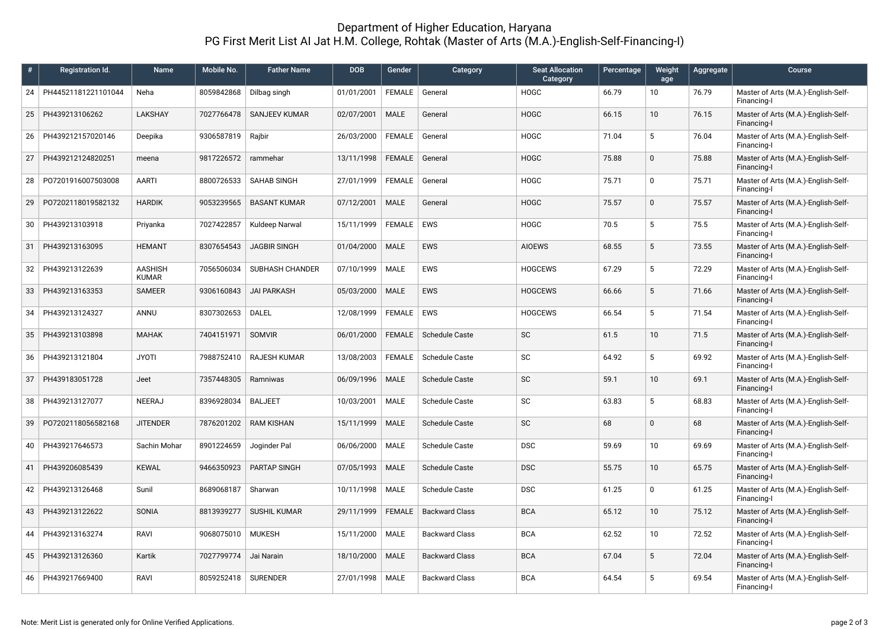## Department of Higher Education, Haryana PG First Merit List AI Jat H.M. College, Rohtak (Master of Arts (M.A.)-English-Self-Financing-I)

| #  | Registration Id.    | Name                    | Mobile No. | <b>Father Name</b>   | <b>DOB</b> | Gender        | Category              | <b>Seat Allocation</b><br>Category | Percentage | Weight<br>age   | Aggregate | Course                                             |
|----|---------------------|-------------------------|------------|----------------------|------------|---------------|-----------------------|------------------------------------|------------|-----------------|-----------|----------------------------------------------------|
| 24 | PH44521181221101044 | Neha                    | 8059842868 | Dilbag singh         | 01/01/2001 | FEMALE        | General               | <b>HOGC</b>                        | 66.79      | 10              | 76.79     | Master of Arts (M.A.)-English-Self-<br>Financing-I |
| 25 | PH439213106262      | <b>LAKSHAY</b>          | 7027766478 | <b>SANJEEV KUMAR</b> | 02/07/2001 | <b>MALE</b>   | General               | <b>HOGC</b>                        | 66.15      | 10 <sup>°</sup> | 76.15     | Master of Arts (M.A.)-English-Self-<br>Financing-I |
| 26 | PH439212157020146   | Deepika                 | 9306587819 | Rajbir               | 26/03/2000 | <b>FEMALE</b> | General               | <b>HOGC</b>                        | 71.04      | 5               | 76.04     | Master of Arts (M.A.)-English-Self-<br>Financing-I |
| 27 | PH439212124820251   | meena                   | 9817226572 | rammehar             | 13/11/1998 | <b>FEMALE</b> | General               | <b>HOGC</b>                        | 75.88      | $\mathbf{0}$    | 75.88     | Master of Arts (M.A.)-English-Self-<br>Financing-I |
| 28 | P07201916007503008  | AARTI                   | 8800726533 | <b>SAHAB SINGH</b>   | 27/01/1999 | <b>FEMALE</b> | General               | <b>HOGC</b>                        | 75.71      | $\Omega$        | 75.71     | Master of Arts (M.A.)-English-Self-<br>Financing-I |
| 29 | P07202118019582132  | <b>HARDIK</b>           | 9053239565 | <b>BASANT KUMAR</b>  | 07/12/2001 | <b>MALE</b>   | General               | <b>HOGC</b>                        | 75.57      | $\Omega$        | 75.57     | Master of Arts (M.A.)-English-Self-<br>Financing-I |
| 30 | PH439213103918      | Priyanka                | 7027422857 | Kuldeep Narwal       | 15/11/1999 | FEMALE        | <b>EWS</b>            | <b>HOGC</b>                        | 70.5       | 5               | 75.5      | Master of Arts (M.A.)-English-Self-<br>Financing-I |
| 31 | PH439213163095      | <b>HEMANT</b>           | 8307654543 | <b>JAGBIR SINGH</b>  | 01/04/2000 | <b>MALE</b>   | <b>EWS</b>            | <b>AIOEWS</b>                      | 68.55      | 5               | 73.55     | Master of Arts (M.A.)-English-Self-<br>Financing-I |
| 32 | PH439213122639      | <b>AASHISH</b><br>KUMAR | 7056506034 | SUBHASH CHANDER      | 07/10/1999 | MALE          | <b>EWS</b>            | <b>HOGCEWS</b>                     | 67.29      | 5               | 72.29     | Master of Arts (M.A.)-English-Self-<br>Financing-I |
| 33 | PH439213163353      | SAMEER                  | 9306160843 | <b>JAI PARKASH</b>   | 05/03/2000 | <b>MALE</b>   | <b>EWS</b>            | <b>HOGCEWS</b>                     | 66.66      | 5               | 71.66     | Master of Arts (M.A.)-English-Self-<br>Financing-I |
| 34 | PH439213124327      | ANNU                    | 8307302653 | <b>DALEL</b>         | 12/08/1999 | FEMALE        | <b>EWS</b>            | <b>HOGCEWS</b>                     | 66.54      | 5               | 71.54     | Master of Arts (M.A.)-English-Self-<br>Financing-I |
| 35 | PH439213103898      | <b>MAHAK</b>            | 7404151971 | SOMVIR               | 06/01/2000 | <b>FEMALE</b> | <b>Schedule Caste</b> | <b>SC</b>                          | 61.5       | 10              | 71.5      | Master of Arts (M.A.)-English-Self-<br>Financing-I |
| 36 | PH439213121804      | <b>JYOTI</b>            | 7988752410 | <b>RAJESH KUMAR</b>  | 13/08/2003 | <b>FEMALE</b> | <b>Schedule Caste</b> | <b>SC</b>                          | 64.92      | 5               | 69.92     | Master of Arts (M.A.)-English-Self-<br>Financing-I |
| 37 | PH439183051728      | Jeet                    | 7357448305 | Ramniwas             | 06/09/1996 | <b>MALE</b>   | <b>Schedule Caste</b> | <b>SC</b>                          | 59.1       | 10              | 69.1      | Master of Arts (M.A.)-English-Self-<br>Financing-I |
| 38 | PH439213127077      | NEERAJ                  | 8396928034 | <b>BALJEET</b>       | 10/03/2001 | <b>MALE</b>   | Schedule Caste        | SC                                 | 63.83      | 5               | 68.83     | Master of Arts (M.A.)-English-Self-<br>Financing-I |
| 39 | P07202118056582168  | <b>JITENDER</b>         | 7876201202 | <b>RAM KISHAN</b>    | 15/11/1999 | <b>MALE</b>   | <b>Schedule Caste</b> | SC                                 | 68         | $\Omega$        | 68        | Master of Arts (M.A.)-English-Self-<br>Financing-I |
| 40 | PH439217646573      | Sachin Mohar            | 8901224659 | Joginder Pal         | 06/06/2000 | <b>MALE</b>   | <b>Schedule Caste</b> | <b>DSC</b>                         | 59.69      | 10              | 69.69     | Master of Arts (M.A.)-English-Self-<br>Financing-I |
| 41 | PH439206085439      | <b>KEWAL</b>            | 9466350923 | PARTAP SINGH         | 07/05/1993 | <b>MALE</b>   | <b>Schedule Caste</b> | <b>DSC</b>                         | 55.75      | 10 <sup>°</sup> | 65.75     | Master of Arts (M.A.)-English-Self-<br>Financing-I |
| 42 | PH439213126468      | Sunil                   | 8689068187 | Sharwan              | 10/11/1998 | <b>MALE</b>   | Schedule Caste        | <b>DSC</b>                         | 61.25      | $\Omega$        | 61.25     | Master of Arts (M.A.)-English-Self-<br>Financing-I |
| 43 | PH439213122622      | SONIA                   | 8813939277 | <b>SUSHIL KUMAR</b>  | 29/11/1999 | <b>FEMALE</b> | <b>Backward Class</b> | <b>BCA</b>                         | 65.12      | 10              | 75.12     | Master of Arts (M.A.)-English-Self-<br>Financing-I |
| 44 | PH439213163274      | <b>RAVI</b>             | 9068075010 | <b>MUKESH</b>        | 15/11/2000 | MALE          | <b>Backward Class</b> | <b>BCA</b>                         | 62.52      | 10              | 72.52     | Master of Arts (M.A.)-English-Self-<br>Financing-I |
| 45 | PH439213126360      | Kartik                  | 7027799774 | Jai Narain           | 18/10/2000 | <b>MALE</b>   | <b>Backward Class</b> | <b>BCA</b>                         | 67.04      | 5               | 72.04     | Master of Arts (M.A.)-English-Self-<br>Financing-I |
| 46 | PH439217669400      | RAVI                    | 8059252418 | <b>SURENDER</b>      | 27/01/1998 | <b>MALE</b>   | <b>Backward Class</b> | <b>BCA</b>                         | 64.54      | 5               | 69.54     | Master of Arts (M.A.)-English-Self-<br>Financing-I |